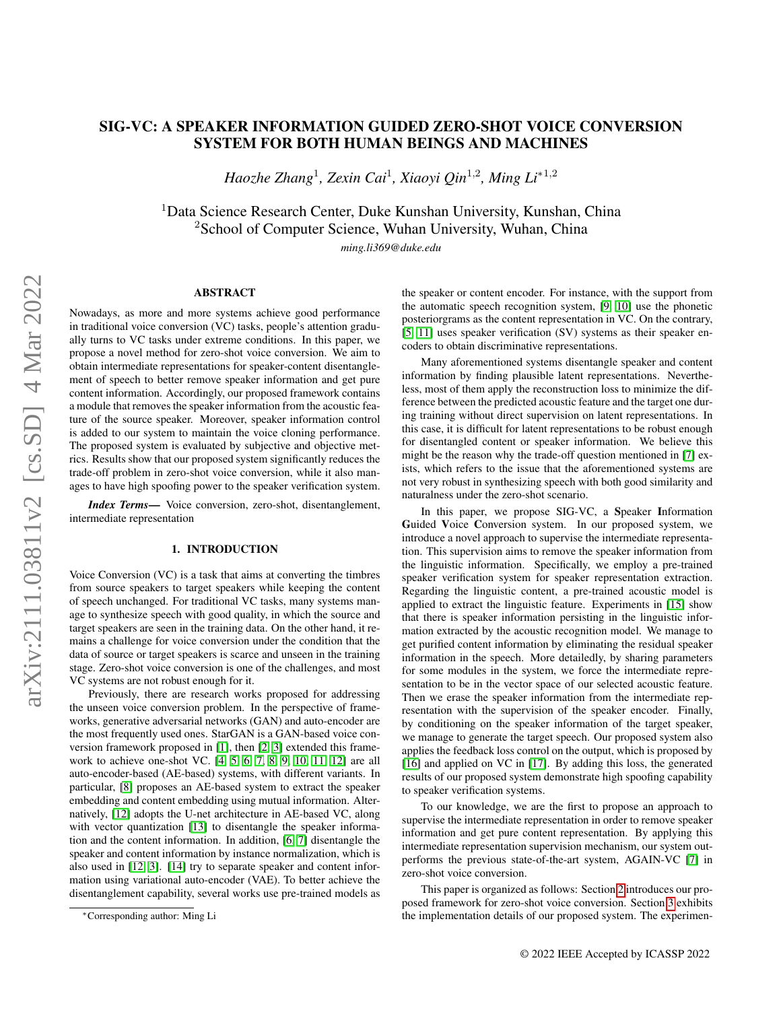# SIG-VC: A SPEAKER INFORMATION GUIDED ZERO-SHOT VOICE CONVERSION SYSTEM FOR BOTH HUMAN BEINGS AND MACHINES

*Haozhe Zhang*<sup>1</sup> *, Zexin Cai*<sup>1</sup> *, Xiaoyi Qin*<sup>1</sup>,<sup>2</sup> *, Ming Li*<sup>∗</sup>1,<sup>2</sup>

<sup>1</sup>Data Science Research Center, Duke Kunshan University, Kunshan, China <sup>2</sup>School of Computer Science, Wuhan University, Wuhan, China

*ming.li369@duke.edu*

# ABSTRACT

Nowadays, as more and more systems achieve good performance in traditional voice conversion (VC) tasks, people's attention gradually turns to VC tasks under extreme conditions. In this paper, we propose a novel method for zero-shot voice conversion. We aim to obtain intermediate representations for speaker-content disentanglement of speech to better remove speaker information and get pure content information. Accordingly, our proposed framework contains a module that removes the speaker information from the acoustic feature of the source speaker. Moreover, speaker information control is added to our system to maintain the voice cloning performance. The proposed system is evaluated by subjective and objective metrics. Results show that our proposed system significantly reduces the trade-off problem in zero-shot voice conversion, while it also manages to have high spoofing power to the speaker verification system.

*Index Terms*— Voice conversion, zero-shot, disentanglement, intermediate representation

## 1. INTRODUCTION

Voice Conversion (VC) is a task that aims at converting the timbres from source speakers to target speakers while keeping the content of speech unchanged. For traditional VC tasks, many systems manage to synthesize speech with good quality, in which the source and target speakers are seen in the training data. On the other hand, it remains a challenge for voice conversion under the condition that the data of source or target speakers is scarce and unseen in the training stage. Zero-shot voice conversion is one of the challenges, and most VC systems are not robust enough for it.

Previously, there are research works proposed for addressing the unseen voice conversion problem. In the perspective of frameworks, generative adversarial networks (GAN) and auto-encoder are the most frequently used ones. StarGAN is a GAN-based voice conversion framework proposed in [\[1\]](#page-4-0), then [\[2,](#page-4-1) [3\]](#page-4-2) extended this framework to achieve one-shot VC. [\[4,](#page-4-3) [5,](#page-4-4) [6,](#page-4-5) [7,](#page-4-6) [8,](#page-4-7) [9,](#page-4-8) [10,](#page-4-9) [11,](#page-4-10) [12\]](#page-4-11) are all auto-encoder-based (AE-based) systems, with different variants. In particular, [\[8\]](#page-4-7) proposes an AE-based system to extract the speaker embedding and content embedding using mutual information. Alternatively, [\[12\]](#page-4-11) adopts the U-net architecture in AE-based VC, along with vector quantization [\[13\]](#page-4-12) to disentangle the speaker information and the content information. In addition, [\[6,](#page-4-5) [7\]](#page-4-6) disentangle the speaker and content information by instance normalization, which is also used in [\[12,](#page-4-11) [3\]](#page-4-2). [\[14\]](#page-4-13) try to separate speaker and content information using variational auto-encoder (VAE). To better achieve the disentanglement capability, several works use pre-trained models as the speaker or content encoder. For instance, with the support from the automatic speech recognition system, [\[9,](#page-4-8) [10\]](#page-4-9) use the phonetic posteriorgrams as the content representation in VC. On the contrary, [\[5,](#page-4-4) [11\]](#page-4-10) uses speaker verification (SV) systems as their speaker encoders to obtain discriminative representations.

Many aforementioned systems disentangle speaker and content information by finding plausible latent representations. Nevertheless, most of them apply the reconstruction loss to minimize the difference between the predicted acoustic feature and the target one during training without direct supervision on latent representations. In this case, it is difficult for latent representations to be robust enough for disentangled content or speaker information. We believe this might be the reason why the trade-off question mentioned in [\[7\]](#page-4-6) exists, which refers to the issue that the aforementioned systems are not very robust in synthesizing speech with both good similarity and naturalness under the zero-shot scenario.

In this paper, we propose SIG-VC, a Speaker Information Guided Voice Conversion system. In our proposed system, we introduce a novel approach to supervise the intermediate representation. This supervision aims to remove the speaker information from the linguistic information. Specifically, we employ a pre-trained speaker verification system for speaker representation extraction. Regarding the linguistic content, a pre-trained acoustic model is applied to extract the linguistic feature. Experiments in [\[15\]](#page-4-14) show that there is speaker information persisting in the linguistic information extracted by the acoustic recognition model. We manage to get purified content information by eliminating the residual speaker information in the speech. More detailedly, by sharing parameters for some modules in the system, we force the intermediate representation to be in the vector space of our selected acoustic feature. Then we erase the speaker information from the intermediate representation with the supervision of the speaker encoder. Finally, by conditioning on the speaker information of the target speaker, we manage to generate the target speech. Our proposed system also applies the feedback loss control on the output, which is proposed by [\[16\]](#page-4-15) and applied on VC in [\[17\]](#page-4-16). By adding this loss, the generated results of our proposed system demonstrate high spoofing capability to speaker verification systems.

To our knowledge, we are the first to propose an approach to supervise the intermediate representation in order to remove speaker information and get pure content representation. By applying this intermediate representation supervision mechanism, our system outperforms the previous state-of-the-art system, AGAIN-VC [\[7\]](#page-4-6) in zero-shot voice conversion.

This paper is organized as follows: Section [2](#page-1-0) introduces our proposed framework for zero-shot voice conversion. Section [3](#page-2-0) exhibits the implementation details of our proposed system. The experimen-

<sup>∗</sup>Corresponding author: Ming Li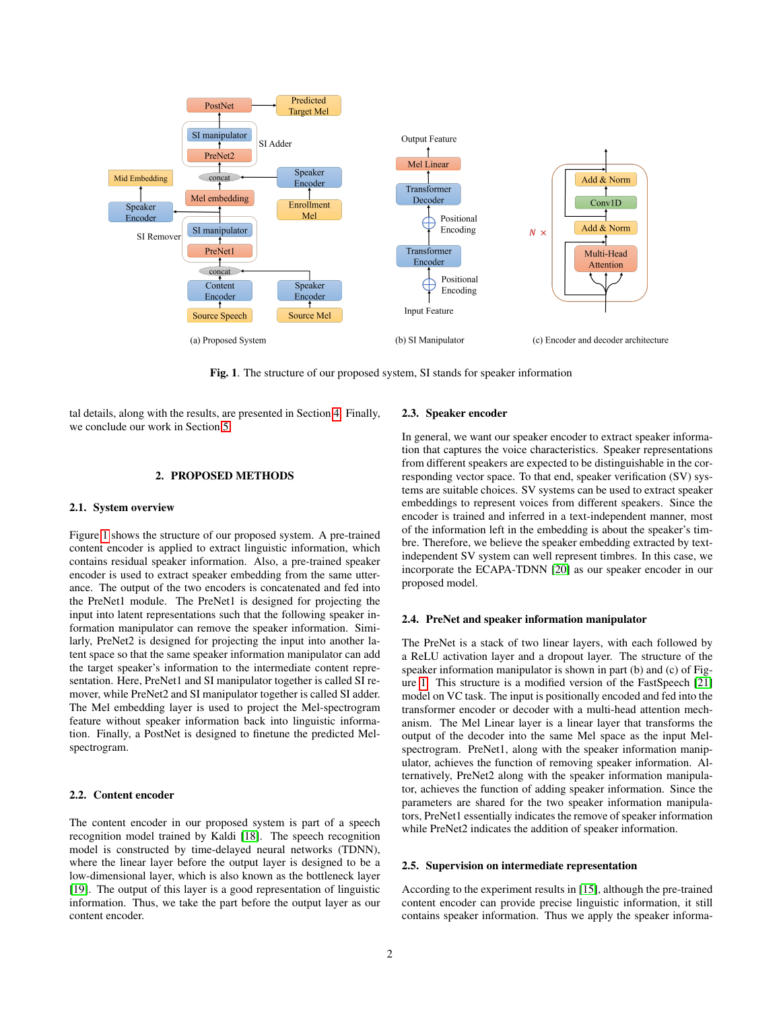

<span id="page-1-1"></span>Fig. 1. The structure of our proposed system, SI stands for speaker information

tal details, along with the results, are presented in Section [4.](#page-2-1) Finally, we conclude our work in Section [5.](#page-3-0)

# 2. PROPOSED METHODS

#### <span id="page-1-0"></span>2.1. System overview

Figure [1](#page-1-1) shows the structure of our proposed system. A pre-trained content encoder is applied to extract linguistic information, which contains residual speaker information. Also, a pre-trained speaker encoder is used to extract speaker embedding from the same utterance. The output of the two encoders is concatenated and fed into the PreNet1 module. The PreNet1 is designed for projecting the input into latent representations such that the following speaker information manipulator can remove the speaker information. Similarly, PreNet2 is designed for projecting the input into another latent space so that the same speaker information manipulator can add the target speaker's information to the intermediate content representation. Here, PreNet1 and SI manipulator together is called SI remover, while PreNet2 and SI manipulator together is called SI adder. The Mel embedding layer is used to project the Mel-spectrogram feature without speaker information back into linguistic information. Finally, a PostNet is designed to finetune the predicted Melspectrogram.

# 2.2. Content encoder

The content encoder in our proposed system is part of a speech recognition model trained by Kaldi [\[18\]](#page-4-17). The speech recognition model is constructed by time-delayed neural networks (TDNN), where the linear layer before the output layer is designed to be a low-dimensional layer, which is also known as the bottleneck layer [\[19\]](#page-4-18). The output of this layer is a good representation of linguistic information. Thus, we take the part before the output layer as our content encoder.

#### 2.3. Speaker encoder

In general, we want our speaker encoder to extract speaker information that captures the voice characteristics. Speaker representations from different speakers are expected to be distinguishable in the corresponding vector space. To that end, speaker verification (SV) systems are suitable choices. SV systems can be used to extract speaker embeddings to represent voices from different speakers. Since the encoder is trained and inferred in a text-independent manner, most of the information left in the embedding is about the speaker's timbre. Therefore, we believe the speaker embedding extracted by textindependent SV system can well represent timbres. In this case, we incorporate the ECAPA-TDNN [\[20\]](#page-4-19) as our speaker encoder in our proposed model.

#### 2.4. PreNet and speaker information manipulator

The PreNet is a stack of two linear layers, with each followed by a ReLU activation layer and a dropout layer. The structure of the speaker information manipulator is shown in part (b) and (c) of Figure [1.](#page-1-1) This structure is a modified version of the FastSpeech [\[21\]](#page-4-20) model on VC task. The input is positionally encoded and fed into the transformer encoder or decoder with a multi-head attention mechanism. The Mel Linear layer is a linear layer that transforms the output of the decoder into the same Mel space as the input Melspectrogram. PreNet1, along with the speaker information manipulator, achieves the function of removing speaker information. Alternatively, PreNet2 along with the speaker information manipulator, achieves the function of adding speaker information. Since the parameters are shared for the two speaker information manipulators, PreNet1 essentially indicates the remove of speaker information while PreNet2 indicates the addition of speaker information.

#### 2.5. Supervision on intermediate representation

According to the experiment results in [\[15\]](#page-4-14), although the pre-trained content encoder can provide precise linguistic information, it still contains speaker information. Thus we apply the speaker informa-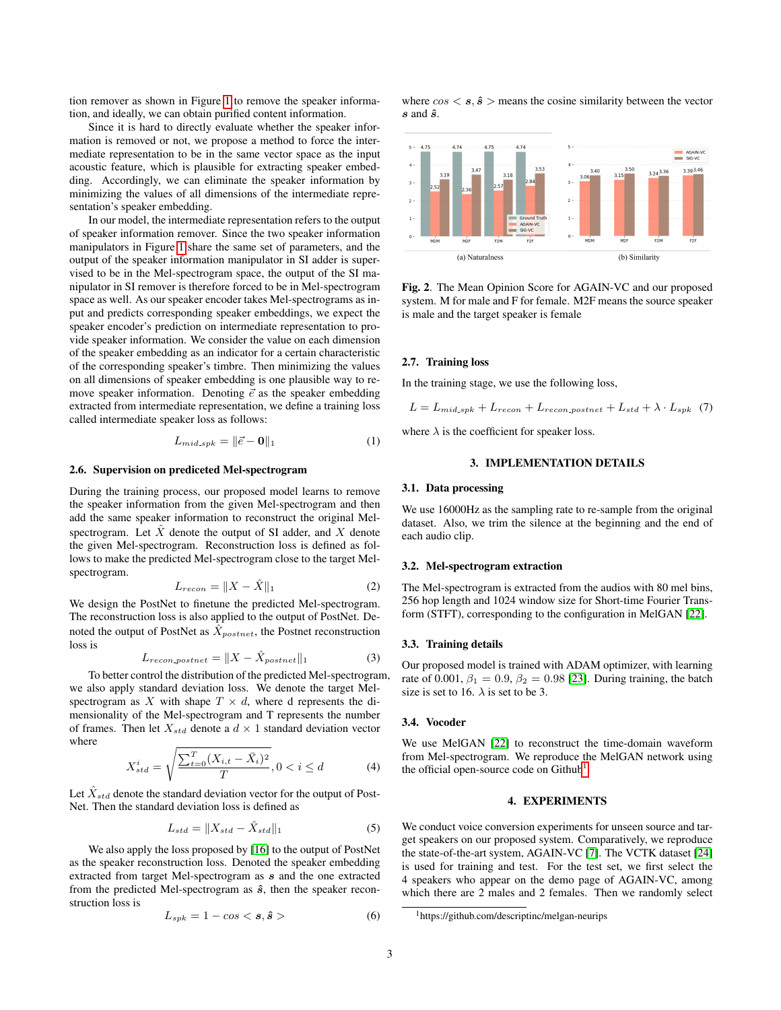tion remover as shown in Figure [1](#page-1-1) to remove the speaker information, and ideally, we can obtain purified content information.

Since it is hard to directly evaluate whether the speaker information is removed or not, we propose a method to force the intermediate representation to be in the same vector space as the input acoustic feature, which is plausible for extracting speaker embedding. Accordingly, we can eliminate the speaker information by minimizing the values of all dimensions of the intermediate representation's speaker embedding.

In our model, the intermediate representation refers to the output of speaker information remover. Since the two speaker information manipulators in Figure [1](#page-1-1) share the same set of parameters, and the output of the speaker information manipulator in SI adder is supervised to be in the Mel-spectrogram space, the output of the SI manipulator in SI remover is therefore forced to be in Mel-spectrogram space as well. As our speaker encoder takes Mel-spectrograms as input and predicts corresponding speaker embeddings, we expect the speaker encoder's prediction on intermediate representation to provide speaker information. We consider the value on each dimension of the speaker embedding as an indicator for a certain characteristic of the corresponding speaker's timbre. Then minimizing the values on all dimensions of speaker embedding is one plausible way to remove speaker information. Denoting  $\vec{e}$  as the speaker embedding extracted from intermediate representation, we define a training loss called intermediate speaker loss as follows:

$$
L_{mid\_spk} = \|\vec{e} - \mathbf{0}\|_1 \tag{1}
$$

### 2.6. Supervision on prediceted Mel-spectrogram

During the training process, our proposed model learns to remove the speaker information from the given Mel-spectrogram and then add the same speaker information to reconstruct the original Melspectrogram. Let  $\hat{X}$  denote the output of SI adder, and X denote the given Mel-spectrogram. Reconstruction loss is defined as follows to make the predicted Mel-spectrogram close to the target Melspectrogram.

$$
L_{recon} = \|X - \hat{X}\|_1 \tag{2}
$$

We design the PostNet to finetune the predicted Mel-spectrogram. The reconstruction loss is also applied to the output of PostNet. Denoted the output of PostNet as  $\hat{X}_{postnet}$ , the Postnet reconstruction loss is

$$
L_{recon\_postnet} = \|X - \hat{X}_{postnet}\|_1
$$
 (3)

To better control the distribution of the predicted Mel-spectrogram, we also apply standard deviation loss. We denote the target Melspectrogram as X with shape  $T \times d$ , where d represents the dimensionality of the Mel-spectrogram and T represents the number of frames. Then let  $X_{std}$  denote a  $d \times 1$  standard deviation vector where

$$
X_{std}^{i} = \sqrt{\frac{\sum_{t=0}^{T} (X_{i,t} - \bar{X}_i)^2}{T}}, 0 < i \le d \tag{4}
$$

Let  $\hat{X}_{std}$  denote the standard deviation vector for the output of Post-Net. Then the standard deviation loss is defined as

$$
L_{std} = \|X_{std} - \hat{X}_{std}\|_1 \tag{5}
$$

We also apply the loss proposed by [\[16\]](#page-4-15) to the output of PostNet as the speaker reconstruction loss. Denoted the speaker embedding extracted from target Mel-spectrogram as s and the one extracted from the predicted Mel-spectrogram as  $\hat{s}$ , then the speaker reconstruction loss is

$$
L_{spk} = 1 - \cos < s, \hat{s} > \tag{6}
$$

where  $\cos \leq s, \hat{s} >$  means the cosine similarity between the vector  $s$  and  $\hat{s}$ .



<span id="page-2-3"></span>Fig. 2. The Mean Opinion Score for AGAIN-VC and our proposed system. M for male and F for female. M2F means the source speaker is male and the target speaker is female

### 2.7. Training loss

In the training stage, we use the following loss,

$$
L = L_{mid\_spk} + L_{recon} + L_{recon\_postnet} + L_{std} + \lambda \cdot L_{spk} \tag{7}
$$

where  $\lambda$  is the coefficient for speaker loss.

# 3. IMPLEMENTATION DETAILS

### <span id="page-2-0"></span>3.1. Data processing

We use 16000Hz as the sampling rate to re-sample from the original dataset. Also, we trim the silence at the beginning and the end of each audio clip.

## 3.2. Mel-spectrogram extraction

The Mel-spectrogram is extracted from the audios with 80 mel bins, 256 hop length and 1024 window size for Short-time Fourier Transform (STFT), corresponding to the configuration in MelGAN [\[22\]](#page-4-21).

#### 3.3. Training details

Our proposed model is trained with ADAM optimizer, with learning rate of 0.001,  $\beta_1 = 0.9$ ,  $\beta_2 = 0.98$  [\[23\]](#page-4-22). During training, the batch size is set to 16.  $\lambda$  is set to be 3.

## 3.4. Vocoder

We use MelGAN [\[22\]](#page-4-21) to reconstruct the time-domain waveform from Mel-spectrogram. We reproduce the MelGAN network using the official open-source code on  $Github<sup>1</sup>$  $Github<sup>1</sup>$  $Github<sup>1</sup>$ .

# 4. EXPERIMENTS

<span id="page-2-1"></span>We conduct voice conversion experiments for unseen source and target speakers on our proposed system. Comparatively, we reproduce the state-of-the-art system, AGAIN-VC [\[7\]](#page-4-6). The VCTK dataset [\[24\]](#page-4-23) is used for training and test. For the test set, we first select the 4 speakers who appear on the demo page of AGAIN-VC, among which there are 2 males and 2 females. Then we randomly select

<span id="page-2-2"></span><sup>1</sup>https://github.com/descriptinc/melgan-neurips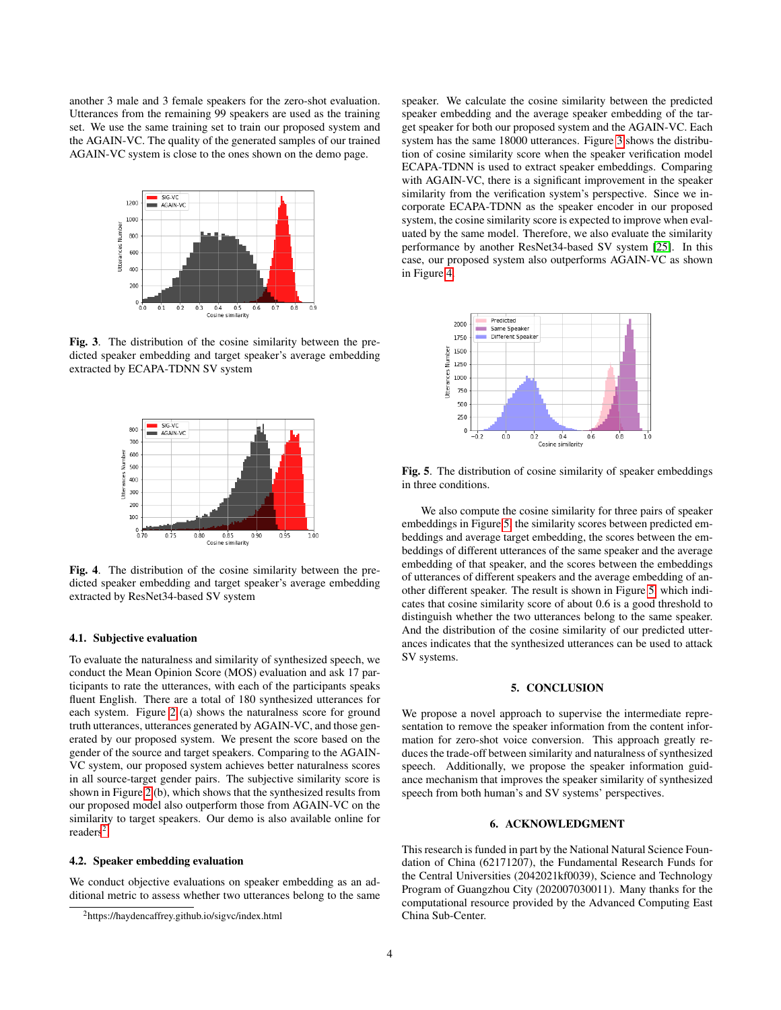another 3 male and 3 female speakers for the zero-shot evaluation. Utterances from the remaining 99 speakers are used as the training set. We use the same training set to train our proposed system and the AGAIN-VC. The quality of the generated samples of our trained AGAIN-VC system is close to the ones shown on the demo page.



<span id="page-3-2"></span>Fig. 3. The distribution of the cosine similarity between the predicted speaker embedding and target speaker's average embedding extracted by ECAPA-TDNN SV system



<span id="page-3-3"></span>Fig. 4. The distribution of the cosine similarity between the predicted speaker embedding and target speaker's average embedding extracted by ResNet34-based SV system

### 4.1. Subjective evaluation

To evaluate the naturalness and similarity of synthesized speech, we conduct the Mean Opinion Score (MOS) evaluation and ask 17 participants to rate the utterances, with each of the participants speaks fluent English. There are a total of 180 synthesized utterances for each system. Figure [2](#page-2-3) (a) shows the naturalness score for ground truth utterances, utterances generated by AGAIN-VC, and those generated by our proposed system. We present the score based on the gender of the source and target speakers. Comparing to the AGAIN-VC system, our proposed system achieves better naturalness scores in all source-target gender pairs. The subjective similarity score is shown in Figure [2](#page-2-3) (b), which shows that the synthesized results from our proposed model also outperform those from AGAIN-VC on the similarity to target speakers. Our demo is also available online for  $readers<sup>2</sup>$  $readers<sup>2</sup>$  $readers<sup>2</sup>$ .

### 4.2. Speaker embedding evaluation

We conduct objective evaluations on speaker embedding as an additional metric to assess whether two utterances belong to the same speaker. We calculate the cosine similarity between the predicted speaker embedding and the average speaker embedding of the target speaker for both our proposed system and the AGAIN-VC. Each system has the same 18000 utterances. Figure [3](#page-3-2) shows the distribution of cosine similarity score when the speaker verification model ECAPA-TDNN is used to extract speaker embeddings. Comparing with AGAIN-VC, there is a significant improvement in the speaker similarity from the verification system's perspective. Since we incorporate ECAPA-TDNN as the speaker encoder in our proposed system, the cosine similarity score is expected to improve when evaluated by the same model. Therefore, we also evaluate the similarity performance by another ResNet34-based SV system [\[25\]](#page-4-24). In this case, our proposed system also outperforms AGAIN-VC as shown in Figure [4.](#page-3-3)



<span id="page-3-4"></span>Fig. 5. The distribution of cosine similarity of speaker embeddings in three conditions.

We also compute the cosine similarity for three pairs of speaker embeddings in Figure [5,](#page-3-4) the similarity scores between predicted embeddings and average target embedding, the scores between the embeddings of different utterances of the same speaker and the average embedding of that speaker, and the scores between the embeddings of utterances of different speakers and the average embedding of another different speaker. The result is shown in Figure [5,](#page-3-4) which indicates that cosine similarity score of about 0.6 is a good threshold to distinguish whether the two utterances belong to the same speaker. And the distribution of the cosine similarity of our predicted utterances indicates that the synthesized utterances can be used to attack SV systems.

### 5. CONCLUSION

<span id="page-3-0"></span>We propose a novel approach to supervise the intermediate representation to remove the speaker information from the content information for zero-shot voice conversion. This approach greatly reduces the trade-off between similarity and naturalness of synthesized speech. Additionally, we propose the speaker information guidance mechanism that improves the speaker similarity of synthesized speech from both human's and SV systems' perspectives.

#### 6. ACKNOWLEDGMENT

This research is funded in part by the National Natural Science Foundation of China (62171207), the Fundamental Research Funds for the Central Universities (2042021kf0039), Science and Technology Program of Guangzhou City (202007030011). Many thanks for the computational resource provided by the Advanced Computing East China Sub-Center.

<span id="page-3-1"></span><sup>2</sup>https://haydencaffrey.github.io/sigvc/index.html